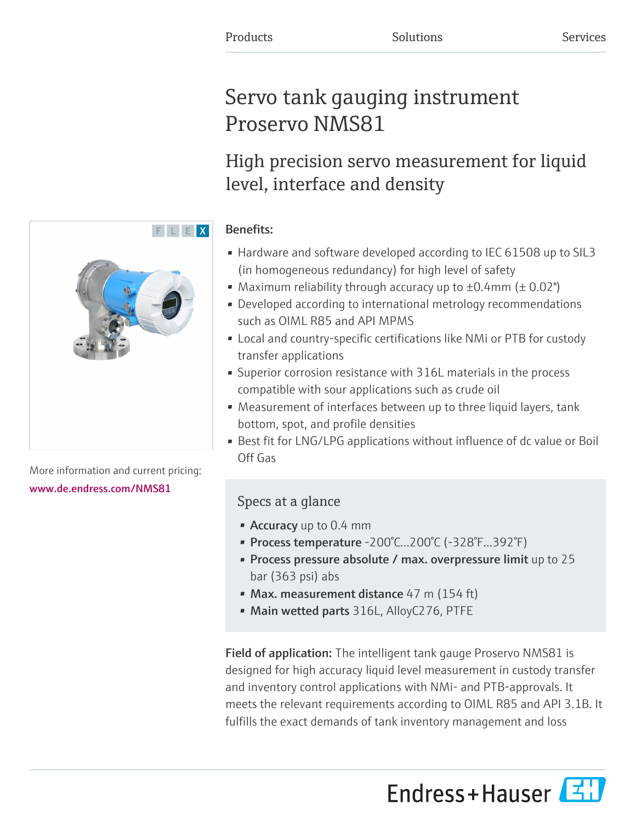# Servo tank gauging instrument Proservo NMS81

# High precision servo measurement for liquid level, interface and density

### Benefits:

- Hardware and software developed according to IEC 61508 up to SIL3 (in homogeneous redundancy) for high level of safety
- Maximum reliability through accuracy up to  $\pm 0.4$ mm ( $\pm 0.02$ ")
- Developed according to international metrology recommendations such as OIML R85 and API MPMS
- Local and country-specific certifications like NMi or PTB for custody transfer applications
- Superior corrosion resistance with 316L materials in the process compatible with sour applications such as crude oil
- Measurement of interfaces between up to three liquid layers, tank bottom, spot, and profile densities
- Best fit for LNG/LPG applications without influence of dc value or Boil Off Gas

## Specs at a glance

- Accuracy up to 0.4 mm
- Process temperature -200°C...200°C (-328°F...392°F)
- Process pressure absolute / max. overpressure limit up to 25 bar (363 psi) abs
- Max. measurement distance 47 m (154 ft)
- Main wetted parts 316L, AlloyC276, PTFE

Field of application: The intelligent tank gauge Proservo NMS81 is designed for high accuracy liquid level measurement in custody transfer and inventory control applications with NMi- and PTB-approvals. It meets the relevant requirements according to OIML R85 and API 3.1B. It fulfills the exact demands of tank inventory management and loss





More information and current pricing: [www.de.endress.com/NMS81](https://www.de.endress.com/NMS81)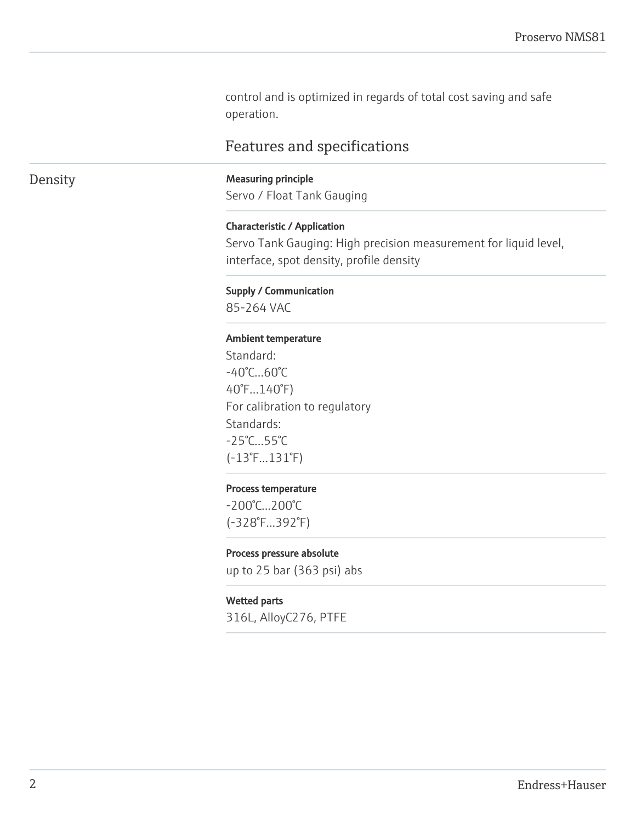control and is optimized in regards of total cost saving and safe operation.

### Features and specifications

### Density Measuring principle

Servo / Float Tank Gauging

#### Characteristic / Application

Servo Tank Gauging: High precision measurement for liquid level, interface, spot density, profile density

#### Supply / Communication

85-264 VAC

#### Ambient temperature

Standard: -40°C…60°C 40°F...140°F) For calibration to regulatory Standards: -25°C…55°C (-13°F...131°F)

#### Process temperature

-200°C...200°C (-328°F...392°F)

#### Process pressure absolute

up to 25 bar (363 psi) abs

#### Wetted parts

316L, AlloyC276, PTFE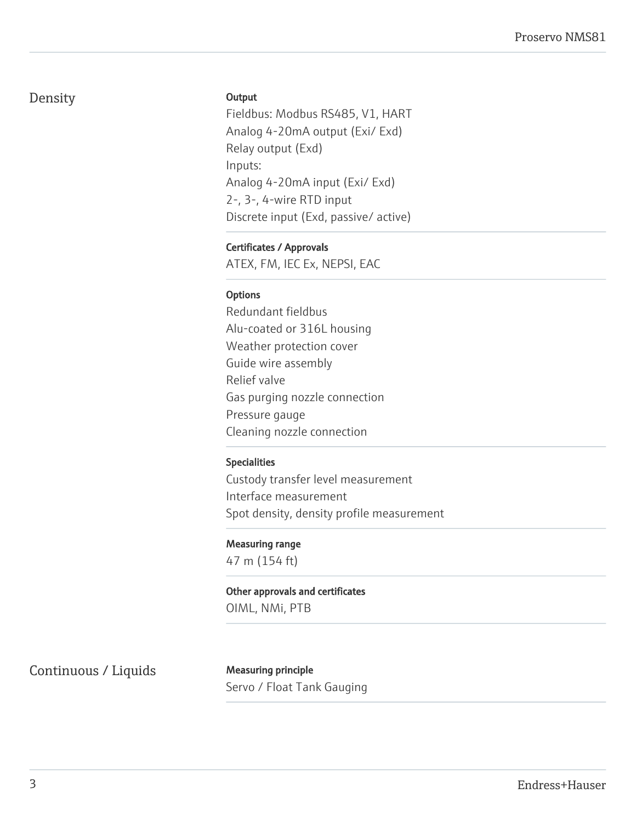### Density

#### **Output**

Fieldbus: Modbus RS485, V1, HART Analog 4-20mA output (Exi/ Exd) Relay output (Exd) Inputs: Analog 4-20mA input (Exi/ Exd) 2-, 3-, 4-wire RTD input Discrete input (Exd, passive/ active)

#### Certificates / Approvals

ATEX, FM, IEC Ex, NEPSI, EAC

#### **Options**

Redundant fieldbus Alu-coated or 316L housing Weather protection cover Guide wire assembly Relief valve Gas purging nozzle connection Pressure gauge Cleaning nozzle connection

#### Specialities

Custody transfer level measurement Interface measurement Spot density, density profile measurement

#### Measuring range

47 m (154 ft)

Other approvals and certificates OIML, NMi, PTB

Continuous / Liquids Measuring principle

Servo / Float Tank Gauging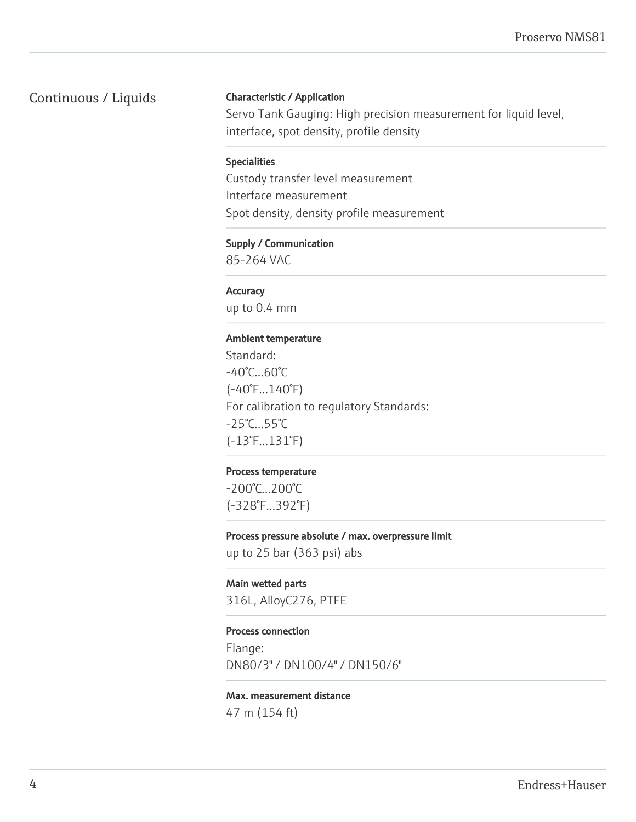### Continuous / Liquids

#### Characteristic / Application

Servo Tank Gauging: High precision measurement for liquid level, interface, spot density, profile density

#### Specialities

Custody transfer level measurement Interface measurement Spot density, density profile measurement

#### Supply / Communication

85-264 VAC

#### **Accuracy**

up to 0.4 mm

#### Ambient temperature

Standard: -40°C…60°C (-40°F...140°F) For calibration to regulatory Standards: -25°C…55°C (-13°F...131°F)

#### Process temperature

-200°C...200°C (-328°F...392°F)

#### Process pressure absolute / max. overpressure limit

up to 25 bar (363 psi) abs

#### Main wetted parts

316L, AlloyC276, PTFE

#### Process connection

Flange: DN80/3" / DN100/4" / DN150/6"

### Max. measurement distance

47 m (154 ft)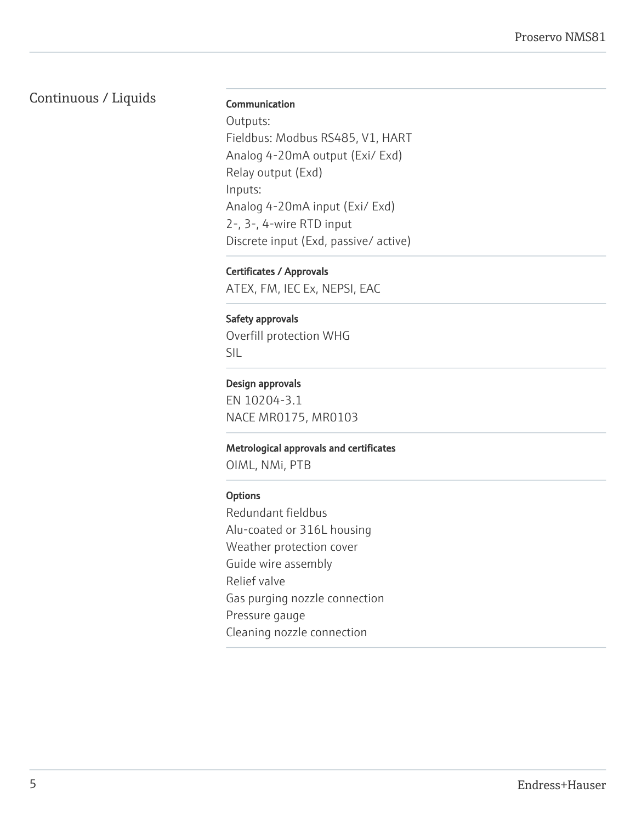### Continuous / Liquids

#### Communication

Outputs: Fieldbus: Modbus RS485, V1, HART Analog 4-20mA output (Exi/ Exd) Relay output (Exd) Inputs: Analog 4-20mA input (Exi/ Exd) 2-, 3-, 4-wire RTD input Discrete input (Exd, passive/ active)

#### Certificates / Approvals

ATEX, FM, IEC Ex, NEPSI, EAC

#### Safety approvals

Overfill protection WHG SIL

#### Design approvals

EN 10204-3.1 NACE MR0175, MR0103

#### Metrological approvals and certificates

OIML, NMi, PTB

#### **Options**

Redundant fieldbus Alu-coated or 316L housing Weather protection cover Guide wire assembly Relief valve Gas purging nozzle connection Pressure gauge Cleaning nozzle connection